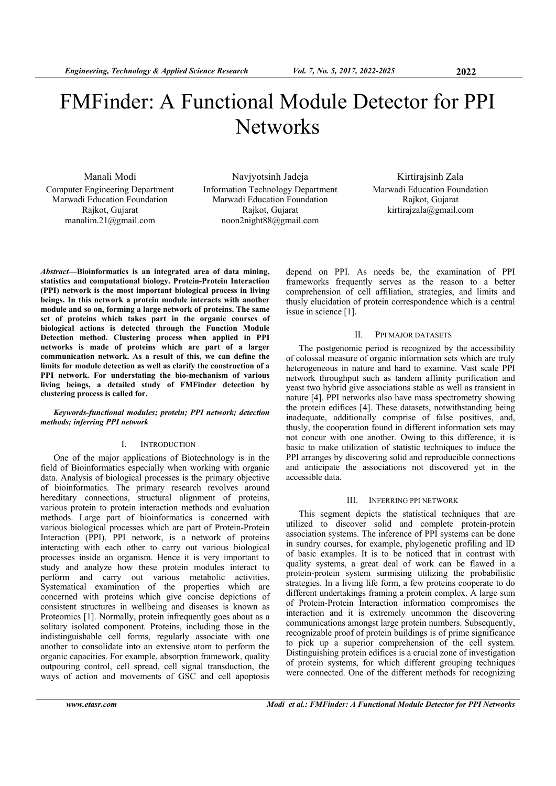# FMFinder: A Functional Module Detector for PPI **Networks**

Manali Modi Computer Engineering Department Marwadi Education Foundation Rajkot, Gujarat manalim.21@gmail.com

Navjyotsinh Jadeja Information Technology Department Marwadi Education Foundation Rajkot, Gujarat noon2night88@gmail.com

Kirtirajsinh Zala Marwadi Education Foundation Rajkot, Gujarat kirtirajzala@gmail.com

*Abstract***—Bioinformatics is an integrated area of data mining, statistics and computational biology. Protein-Protein Interaction (PPI) network is the most important biological process in living beings. In this network a protein module interacts with another module and so on, forming a large network of proteins. The same set of proteins which takes part in the organic courses of biological actions is detected through the Function Module Detection method. Clustering process when applied in PPI networks is made of proteins which are part of a larger communication network. As a result of this, we can define the limits for module detection as well as clarify the construction of a PPI network. For understating the bio-mechanism of various living beings, a detailed study of FMFinder detection by clustering process is called for.** 

## *Keywords-functional modules; protein; PPI network; detection methods; inferring PPI network*

## I. INTRODUCTION

One of the major applications of Biotechnology is in the field of Bioinformatics especially when working with organic data. Analysis of biological processes is the primary objective of bioinformatics. The primary research revolves around hereditary connections, structural alignment of proteins, various protein to protein interaction methods and evaluation methods. Large part of bioinformatics is concerned with various biological processes which are part of Protein-Protein Interaction (PPI). PPI network, is a network of proteins interacting with each other to carry out various biological processes inside an organism. Hence it is very important to study and analyze how these protein modules interact to perform and carry out various metabolic activities. Systematical examination of the properties which are concerned with proteins which give concise depictions of consistent structures in wellbeing and diseases is known as Proteomics [1]. Normally, protein infrequently goes about as a solitary isolated component. Proteins, including those in the indistinguishable cell forms, regularly associate with one another to consolidate into an extensive atom to perform the organic capacities. For example, absorption framework, quality outpouring control, cell spread, cell signal transduction, the ways of action and movements of GSC and cell apoptosis

depend on PPI. As needs be, the examination of PPI frameworks frequently serves as the reason to a better comprehension of cell affiliation, strategies, and limits and thusly elucidation of protein correspondence which is a central issue in science [1].

# II. PPI MAJOR DATASETS

The postgenomic period is recognized by the accessibility of colossal measure of organic information sets which are truly heterogeneous in nature and hard to examine. Vast scale PPI network throughput such as tandem affinity purification and yeast two hybrid give associations stable as well as transient in nature [4]. PPI networks also have mass spectrometry showing the protein edifices [4]. These datasets, notwithstanding being inadequate, additionally comprise of false positives, and, thusly, the cooperation found in different information sets may not concur with one another. Owing to this difference, it is basic to make utilization of statistic techniques to induce the PPI arranges by discovering solid and reproducible connections and anticipate the associations not discovered yet in the accessible data.

## III. INFERRING PPI NETWORK

This segment depicts the statistical techniques that are utilized to discover solid and complete protein-protein association systems. The inference of PPI systems can be done in sundry courses, for example, phylogenetic profiling and ID of basic examples. It is to be noticed that in contrast with quality systems, a great deal of work can be flawed in a protein-protein system surmising utilizing the probabilistic strategies. In a living life form, a few proteins cooperate to do different undertakings framing a protein complex. A large sum of Protein-Protein Interaction information compromises the interaction and it is extremely uncommon the discovering communications amongst large protein numbers. Subsequently, recognizable proof of protein buildings is of prime significance to pick up a superior comprehension of the cell system. Distinguishing protein edifices is a crucial zone of investigation of protein systems, for which different grouping techniques were connected. One of the different methods for recognizing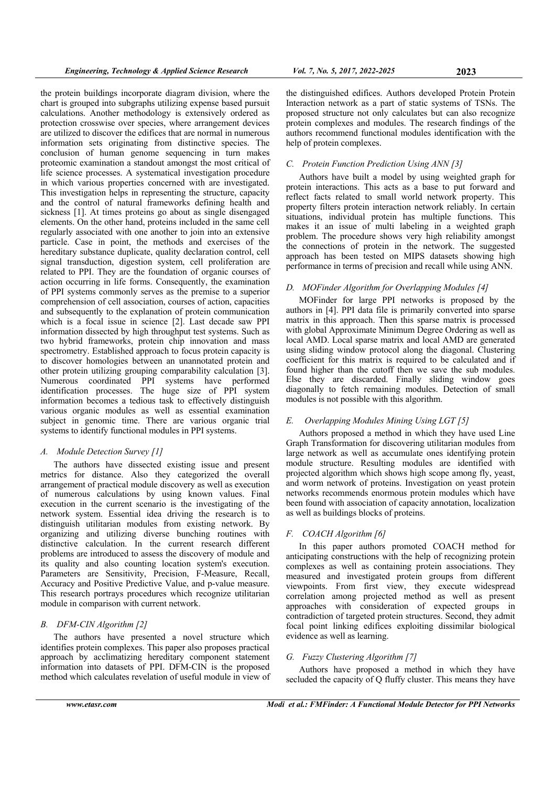the protein buildings incorporate diagram division, where the chart is grouped into subgraphs utilizing expense based pursuit calculations. Another methodology is extensively ordered as protection crosswise over species, where arrangement devices are utilized to discover the edifices that are normal in numerous information sets originating from distinctive species. The conclusion of human genome sequencing in turn makes proteomic examination a standout amongst the most critical of life science processes. A systematical investigation procedure in which various properties concerned with are investigated. This investigation helps in representing the structure, capacity and the control of natural frameworks defining health and sickness [1]. At times proteins go about as single disengaged elements. On the other hand, proteins included in the same cell regularly associated with one another to join into an extensive particle. Case in point, the methods and exercises of the hereditary substance duplicate, quality declaration control, cell signal transduction, digestion system, cell proliferation are related to PPI. They are the foundation of organic courses of action occurring in life forms. Consequently, the examination of PPI systems commonly serves as the premise to a superior comprehension of cell association, courses of action, capacities and subsequently to the explanation of protein communication which is a focal issue in science [2]. Last decade saw PPI information dissected by high throughput test systems. Such as two hybrid frameworks, protein chip innovation and mass spectrometry. Established approach to focus protein capacity is to discover homologies between an unannotated protein and other protein utilizing grouping comparability calculation [3]. Numerous coordinated PPI systems have performed identification processes. The huge size of PPI system information becomes a tedious task to effectively distinguish various organic modules as well as essential examination subject in genomic time. There are various organic trial systems to identify functional modules in PPI systems.

# *A. Module Detection Survey [1]*

The authors have dissected existing issue and present metrics for distance. Also they categorized the overall arrangement of practical module discovery as well as execution of numerous calculations by using known values. Final execution in the current scenario is the investigating of the network system. Essential idea driving the research is to distinguish utilitarian modules from existing network. By organizing and utilizing diverse bunching routines with distinctive calculation. In the current research different problems are introduced to assess the discovery of module and its quality and also counting location system's execution. Parameters are Sensitivity, Precision, F-Measure, Recall, Accuracy and Positive Predictive Value, and p-value measure. This research portrays procedures which recognize utilitarian module in comparison with current network.

# *B. DFM-CIN Algorithm [2]*

The authors have presented a novel structure which identifies protein complexes. This paper also proposes practical approach by acclimatizing hereditary component statement information into datasets of PPI. DFM-CIN is the proposed method which calculates revelation of useful module in view of

the distinguished edifices. Authors developed Protein Protein Interaction network as a part of static systems of TSNs. The proposed structure not only calculates but can also recognize protein complexes and modules. The research findings of the authors recommend functional modules identification with the help of protein complexes.

## *C. Protein Function Prediction Using ANN [3]*

Authors have built a model by using weighted graph for protein interactions. This acts as a base to put forward and reflect facts related to small world network property. This property filters protein interaction network reliably. In certain situations, individual protein has multiple functions. This makes it an issue of multi labeling in a weighted graph problem. The procedure shows very high reliability amongst the connections of protein in the network. The suggested approach has been tested on MIPS datasets showing high performance in terms of precision and recall while using ANN.

#### *D. MOFinder Algorithm for Overlapping Modules [4]*

MOFinder for large PPI networks is proposed by the authors in [4]. PPI data file is primarily converted into sparse matrix in this approach. Then this sparse matrix is processed with global Approximate Minimum Degree Ordering as well as local AMD. Local sparse matrix and local AMD are generated using sliding window protocol along the diagonal. Clustering coefficient for this matrix is required to be calculated and if found higher than the cutoff then we save the sub modules. Else they are discarded. Finally sliding window goes diagonally to fetch remaining modules. Detection of small modules is not possible with this algorithm.

#### *E. Overlapping Modules Mining Using LGT [5]*

Authors proposed a method in which they have used Line Graph Transformation for discovering utilitarian modules from large network as well as accumulate ones identifying protein module structure. Resulting modules are identified with projected algorithm which shows high scope among fly, yeast, and worm network of proteins. Investigation on yeast protein networks recommends enormous protein modules which have been found with association of capacity annotation, localization as well as buildings blocks of proteins.

# *F. COACH Algorithm [6]*

In this paper authors promoted COACH method for anticipating constructions with the help of recognizing protein complexes as well as containing protein associations. They measured and investigated protein groups from different viewpoints. From first view, they execute widespread correlation among projected method as well as present approaches with consideration of expected groups in contradiction of targeted protein structures. Second, they admit focal point linking edifices exploiting dissimilar biological evidence as well as learning.

## *G. Fuzzy Clustering Algorithm [7]*

Authors have proposed a method in which they have secluded the capacity of Q fluffy cluster. This means they have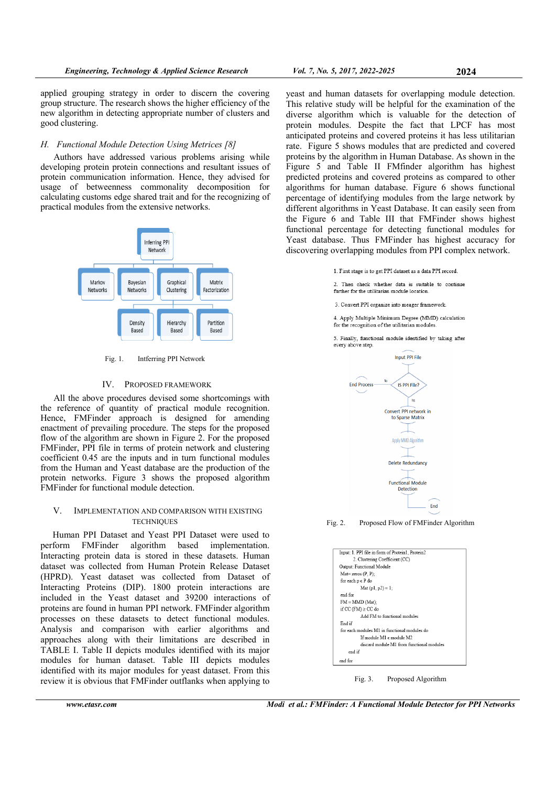applied grouping strategy in order to discern the covering group structure. The research shows the higher efficiency of the new algorithm in detecting appropriate number of clusters and good clustering.

## *H. Functional Module Detection Using Metrices [8]*

Authors have addressed various problems arising while developing protein protein connections and resultant issues of protein communication information. Hence, they advised for usage of betweenness commonality decomposition for calculating customs edge shared trait and for the recognizing of practical modules from the extensive networks.



#### Fig. 1. Intferring PPI Network

#### IV. PROPOSED FRAMEWORK

All the above procedures devised some shortcomings with the reference of quantity of practical module recognition. Hence, FMFinder approach is designed for amending enactment of prevailing procedure. The steps for the proposed flow of the algorithm are shown in Figure 2. For the proposed FMFinder, PPI file in terms of protein network and clustering coefficient 0.45 are the inputs and in turn functional modules from the Human and Yeast database are the production of the protein networks. Figure 3 shows the proposed algorithm FMFinder for functional module detection.

### V. IMPLEMENTATION AND COMPARISON WITH EXISTING **TECHNIQUES**

Human PPI Dataset and Yeast PPI Dataset were used to perform FMFinder algorithm based implementation. Interacting protein data is stored in these datasets. Human dataset was collected from Human Protein Release Dataset (HPRD). Yeast dataset was collected from Dataset of Interacting Proteins (DIP). 1800 protein interactions are included in the Yeast dataset and 39200 interactions of proteins are found in human PPI network. FMFinder algorithm processes on these datasets to detect functional modules. Analysis and comparison with earlier algorithms and approaches along with their limitations are described in TABLE I. Table II depicts modules identified with its major modules for human dataset. Table III depicts modules identified with its major modules for yeast dataset. From this review it is obvious that FMFinder outflanks when applying to

yeast and human datasets for overlapping module detection. This relative study will be helpful for the examination of the diverse algorithm which is valuable for the detection of protein modules. Despite the fact that LPCF has most anticipated proteins and covered proteins it has less utilitarian rate. Figure 5 shows modules that are predicted and covered proteins by the algorithm in Human Database. As shown in the Figure 5 and Table II FMfinder algorithm has highest predicted proteins and covered proteins as compared to other algorithms for human database. Figure 6 shows functional percentage of identifying modules from the large network by different algorithms in Yeast Database. It can easily seen from the Figure 6 and Table III that FMFinder shows highest functional percentage for detecting functional modules for Yeast database. Thus FMFinder has highest accuracy for discovering overlapping modules from PPI complex network.

1. First stage is to get PPI dataset as a data PPI record.

2. Then check whether data is suitable to continue further for the utilitarian module location.

3. Convert PPI organize into meager framework

4. Apply Multiple Minimum Degree (MMD) calculation for the recognition of the utilitarian modules

5. Finally, functional module identified by taking after every above step.



Fig. 2. Proposed Flow of FMFinder Algorithm

| Input: 1. PPI file in form of Protein1. Protein2 |  |  |  |  |
|--------------------------------------------------|--|--|--|--|
| 2. Clustering Coefficient (CC)                   |  |  |  |  |
| Output: Functional Module                        |  |  |  |  |
| $Mat = zeros (P, P)$ :                           |  |  |  |  |
| for each p e P do                                |  |  |  |  |
| Mat $(p1, p2) = 1$ ;                             |  |  |  |  |
| end for                                          |  |  |  |  |
| $FM = MMD (Mat);$                                |  |  |  |  |
| if CC $(TM) \ge CC$ do                           |  |  |  |  |
| Add FM to functional modules                     |  |  |  |  |
| End if                                           |  |  |  |  |
| for each modules M1 in functional modules do     |  |  |  |  |
| If module M1 e module M2                         |  |  |  |  |
| discard module M1 from functional modules        |  |  |  |  |
| end if                                           |  |  |  |  |
| end for                                          |  |  |  |  |
|                                                  |  |  |  |  |